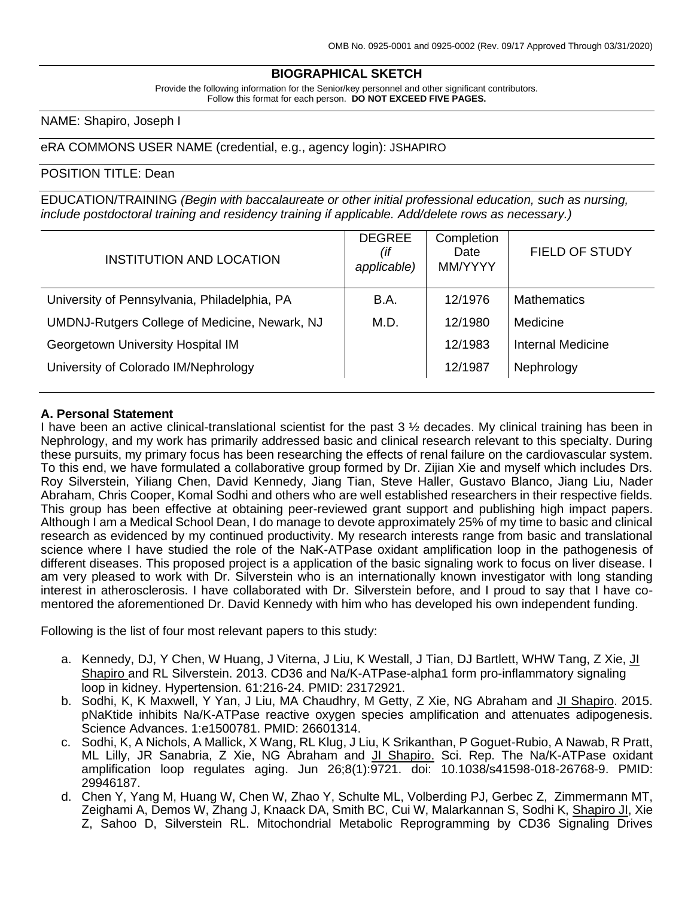## **BIOGRAPHICAL SKETCH**

Provide the following information for the Senior/key personnel and other significant contributors. Follow this format for each person. **DO NOT EXCEED FIVE PAGES.**

## NAME: Shapiro, Joseph I

### eRA COMMONS USER NAME (credential, e.g., agency login): JSHAPIRO

#### POSITION TITLE: Dean

EDUCATION/TRAINING *(Begin with baccalaureate or other initial professional education, such as nursing, include postdoctoral training and residency training if applicable. Add/delete rows as necessary.)*

| <b>INSTITUTION AND LOCATION</b>               | <b>DEGREE</b><br>(if<br>applicable) | Completion<br>Date<br>MM/YYYY | <b>FIELD OF STUDY</b> |
|-----------------------------------------------|-------------------------------------|-------------------------------|-----------------------|
| University of Pennsylvania, Philadelphia, PA  | <b>B.A.</b>                         | 12/1976                       | <b>Mathematics</b>    |
| UMDNJ-Rutgers College of Medicine, Newark, NJ | M.D.                                | 12/1980                       | Medicine              |
| Georgetown University Hospital IM             |                                     | 12/1983                       | Internal Medicine     |
| University of Colorado IM/Nephrology          |                                     | 12/1987                       | Nephrology            |

#### **A. Personal Statement**

I have been an active clinical-translational scientist for the past 3  $\frac{1}{2}$  decades. My clinical training has been in Nephrology, and my work has primarily addressed basic and clinical research relevant to this specialty. During these pursuits, my primary focus has been researching the effects of renal failure on the cardiovascular system. To this end, we have formulated a collaborative group formed by Dr. Zijian Xie and myself which includes Drs. Roy Silverstein, Yiliang Chen, David Kennedy, Jiang Tian, Steve Haller, Gustavo Blanco, Jiang Liu, Nader Abraham, Chris Cooper, Komal Sodhi and others who are well established researchers in their respective fields. This group has been effective at obtaining peer-reviewed grant support and publishing high impact papers. Although I am a Medical School Dean, I do manage to devote approximately 25% of my time to basic and clinical research as evidenced by my continued productivity. My research interests range from basic and translational science where I have studied the role of the NaK-ATPase oxidant amplification loop in the pathogenesis of different diseases. This proposed project is a application of the basic signaling work to focus on liver disease. I am very pleased to work with Dr. Silverstein who is an internationally known investigator with long standing interest in atherosclerosis. I have collaborated with Dr. Silverstein before, and I proud to say that I have comentored the aforementioned Dr. David Kennedy with him who has developed his own independent funding.

Following is the list of four most relevant papers to this study:

- a. Kennedy, DJ, Y Chen, W Huang, J Viterna, J Liu, K Westall, J Tian, DJ Bartlett, WHW Tang, Z Xie, Jl Shapiro and RL Silverstein. 2013. CD36 and Na/K-ATPase-alpha1 form pro-inflammatory signaling loop in kidney. Hypertension. 61:216-24. PMID: 23172921.
- b. Sodhi, K, K Maxwell, Y Yan, J Liu, MA Chaudhry, M Getty, Z Xie, NG Abraham and JI Shapiro. 2015. pNaKtide inhibits Na/K-ATPase reactive oxygen species amplification and attenuates adipogenesis. Science Advances. 1:e1500781. PMID: 26601314.
- c. Sodhi, K, A Nichols, A Mallick, X Wang, RL Klug, J Liu, K Srikanthan, P Goguet-Rubio, A Nawab, R Pratt, ML Lilly, JR Sanabria, Z Xie, NG Abraham and JI Shapiro. Sci. Rep. The Na/K-ATPase oxidant amplification loop regulates aging. Jun 26;8(1):9721. doi: 10.1038/s41598-018-26768-9. PMID: 29946187.
- d. Chen Y, Yang M, Huang W, Chen W, Zhao Y, Schulte ML, Volberding PJ, Gerbec Z, Zimmermann MT, Zeighami A, Demos W, Zhang J, Knaack DA, Smith BC, Cui W, Malarkannan S, Sodhi K, Shapiro JI, Xie Z, Sahoo D, Silverstein RL. Mitochondrial Metabolic Reprogramming by CD36 Signaling Drives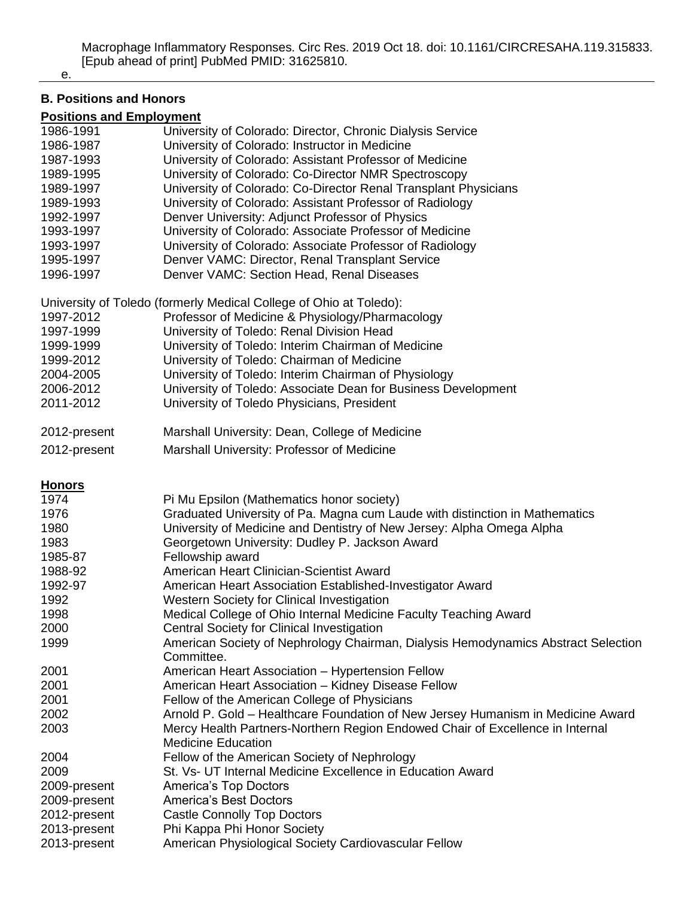#### e.

# **B. Positions and Honors**

## **Positions and Employment**

| 1986-1991     | University of Colorado: Director, Chronic Dialysis Service                        |
|---------------|-----------------------------------------------------------------------------------|
| 1986-1987     | University of Colorado: Instructor in Medicine                                    |
| 1987-1993     | University of Colorado: Assistant Professor of Medicine                           |
| 1989-1995     | University of Colorado: Co-Director NMR Spectroscopy                              |
| 1989-1997     | University of Colorado: Co-Director Renal Transplant Physicians                   |
| 1989-1993     | University of Colorado: Assistant Professor of Radiology                          |
| 1992-1997     | Denver University: Adjunct Professor of Physics                                   |
| 1993-1997     | University of Colorado: Associate Professor of Medicine                           |
| 1993-1997     | University of Colorado: Associate Professor of Radiology                          |
| 1995-1997     | Denver VAMC: Director, Renal Transplant Service                                   |
| 1996-1997     | Denver VAMC: Section Head, Renal Diseases                                         |
|               |                                                                                   |
|               | University of Toledo (formerly Medical College of Ohio at Toledo):                |
| 1997-2012     | Professor of Medicine & Physiology/Pharmacology                                   |
| 1997-1999     | University of Toledo: Renal Division Head                                         |
| 1999-1999     | University of Toledo: Interim Chairman of Medicine                                |
|               |                                                                                   |
| 1999-2012     | University of Toledo: Chairman of Medicine                                        |
| 2004-2005     | University of Toledo: Interim Chairman of Physiology                              |
| 2006-2012     | University of Toledo: Associate Dean for Business Development                     |
| 2011-2012     | University of Toledo Physicians, President                                        |
|               | Marshall University: Dean, College of Medicine                                    |
| 2012-present  |                                                                                   |
| 2012-present  | Marshall University: Professor of Medicine                                        |
|               |                                                                                   |
| <b>Honors</b> |                                                                                   |
| 1974          | Pi Mu Epsilon (Mathematics honor society)                                         |
| 1976          | Graduated University of Pa. Magna cum Laude with distinction in Mathematics       |
| 1980          | University of Medicine and Dentistry of New Jersey: Alpha Omega Alpha             |
| 1983          | Georgetown University: Dudley P. Jackson Award                                    |
| 1985-87       | Fellowship award                                                                  |
| 1988-92       | American Heart Clinician-Scientist Award                                          |
| 1992-97       | American Heart Association Established-Investigator Award                         |
| 1992          | Western Society for Clinical Investigation                                        |
| 1998          | Medical College of Ohio Internal Medicine Faculty Teaching Award                  |
| 2000          | Central Society for Clinical Investigation                                        |
| 1999          | American Society of Nephrology Chairman, Dialysis Hemodynamics Abstract Selection |
|               |                                                                                   |
|               | Committee.                                                                        |
| 2001          | American Heart Association - Hypertension Fellow                                  |
| 2001          | American Heart Association - Kidney Disease Fellow                                |
| 2001          | Fellow of the American College of Physicians                                      |
| 2002          | Arnold P. Gold - Healthcare Foundation of New Jersey Humanism in Medicine Award   |
| 2003          | Mercy Health Partners-Northern Region Endowed Chair of Excellence in Internal     |
|               | <b>Medicine Education</b>                                                         |
| 2004          | Fellow of the American Society of Nephrology                                      |
| 2009          | St. Vs- UT Internal Medicine Excellence in Education Award                        |
| 2009-present  | <b>America's Top Doctors</b>                                                      |
| 2009-present  | <b>America's Best Doctors</b>                                                     |
| 2012-present  | <b>Castle Connolly Top Doctors</b>                                                |
| 2013-present  | Phi Kappa Phi Honor Society                                                       |
| 2013-present  | American Physiological Society Cardiovascular Fellow                              |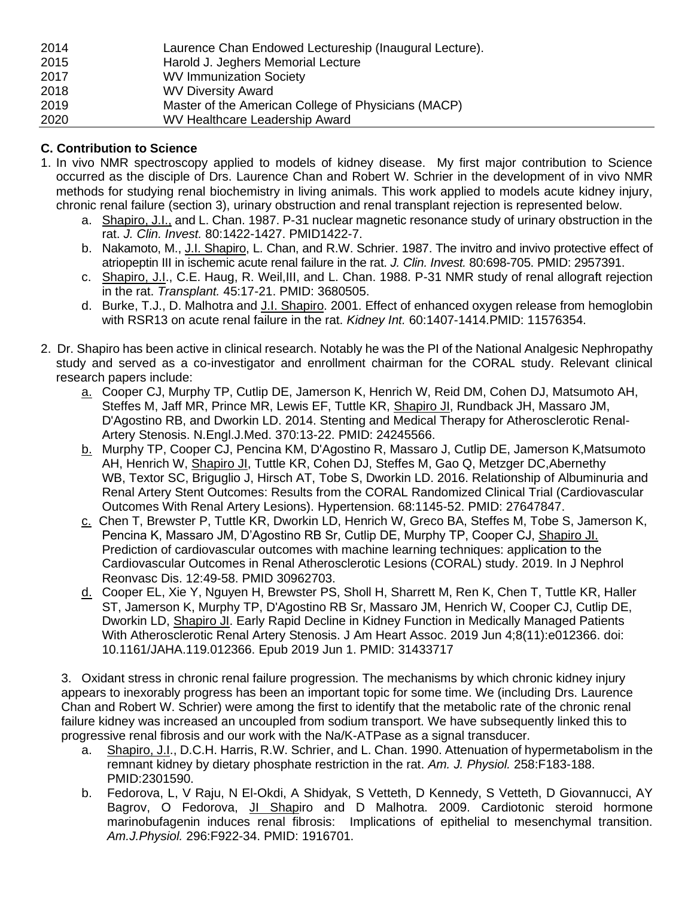| 2014 | Laurence Chan Endowed Lectureship (Inaugural Lecture). |
|------|--------------------------------------------------------|
| 2015 | Harold J. Jeghers Memorial Lecture                     |
| 2017 | <b>WV Immunization Society</b>                         |
| 2018 | <b>WV Diversity Award</b>                              |
| 2019 | Master of the American College of Physicians (MACP)    |
| 2020 | WV Healthcare Leadership Award                         |

## **C. Contribution to Science**

- 1. In vivo NMR spectroscopy applied to models of kidney disease. My first major contribution to Science occurred as the disciple of Drs. Laurence Chan and Robert W. Schrier in the development of in vivo NMR methods for studying renal biochemistry in living animals. This work applied to models acute kidney injury, chronic renal failure (section 3), urinary obstruction and renal transplant rejection is represented below.
	- a. Shapiro, J.I., and L. Chan. 1987. P-31 nuclear magnetic resonance study of urinary obstruction in the rat. *J. Clin. Invest.* 80:1422-1427. PMID1422-7.
	- b. Nakamoto, M., J.I. Shapiro, L. Chan, and R.W. Schrier. 1987. The invitro and invivo protective effect of atriopeptin III in ischemic acute renal failure in the rat. *J. Clin. Invest.* 80:698-705. PMID: 2957391.
	- c. Shapiro, J.I., C.E. Haug, R. Weil,III, and L. Chan. 1988. P-31 NMR study of renal allograft rejection in the rat. *Transplant.* 45:17-21. PMID: 3680505.
	- d. Burke, T.J., D. Malhotra and J.I. Shapiro. 2001. Effect of enhanced oxygen release from hemoglobin with RSR13 on acute renal failure in the rat. *Kidney Int.* 60:1407-1414.PMID: 11576354.
- 2. Dr. Shapiro has been active in clinical research. Notably he was the PI of the National Analgesic Nephropathy study and served as a co-investigator and enrollment chairman for the CORAL study. Relevant clinical research papers include:
	- a. Cooper CJ, Murphy TP, Cutlip DE, Jamerson K, Henrich W, Reid DM, Cohen DJ, Matsumoto AH, Steffes M, Jaff MR, Prince MR, Lewis EF, Tuttle KR, Shapiro JI, Rundback JH, Massaro JM, D'Agostino RB, and Dworkin LD. 2014. Stenting and Medical Therapy for Atherosclerotic Renal-Artery Stenosis. N.Engl.J.Med. 370:13-22. PMID: 24245566.
	- b. Murphy TP, Cooper CJ, Pencina KM, D'Agostino R, Massaro J, Cutlip DE, Jamerson K,Matsumoto AH, Henrich W, Shapiro JI, Tuttle KR, Cohen DJ, Steffes M, Gao Q, Metzger DC,Abernethy WB, Textor SC, Briguglio J, Hirsch AT, Tobe S, Dworkin LD. 2016. [Relationship of Albuminuria and](https://www.ncbi.nlm.nih.gov/pubmed/27647847)  [Renal Artery Stent Outcomes: Results from the CORAL Randomized Clinical Trial \(Cardiovascular](https://www.ncbi.nlm.nih.gov/pubmed/27647847)  [Outcomes With Renal Artery Lesions\).](https://www.ncbi.nlm.nih.gov/pubmed/27647847) Hypertension. 68:1145-52. PMID: 27647847.
	- c. Chen T, Brewster P, Tuttle KR, Dworkin LD, Henrich W, Greco BA, Steffes M, Tobe S, Jamerson K, Pencina K, Massaro JM, D'Agostino RB Sr, Cutlip DE, Murphy TP, Cooper CJ, Shapiro JI. Prediction of cardiovascular outcomes with machine learning techniques: application to the Cardiovascular Outcomes in Renal Atherosclerotic Lesions (CORAL) study. 2019. In J Nephrol Reonvasc Dis. 12:49-58. PMID 30962703.
	- d. Cooper EL, Xie Y, Nguyen H, Brewster PS, Sholl H, Sharrett M, Ren K, Chen T, Tuttle KR, Haller ST, Jamerson K, Murphy TP, D'Agostino RB Sr, Massaro JM, Henrich W, Cooper CJ, Cutlip DE, Dworkin LD, Shapiro JI. Early Rapid Decline in Kidney Function in Medically Managed Patients With Atherosclerotic Renal Artery Stenosis. J Am Heart Assoc. 2019 Jun 4;8(11):e012366. doi: 10.1161/JAHA.119.012366. Epub 2019 Jun 1. PMID: 31433717

3. Oxidant stress in chronic renal failure progression. The mechanisms by which chronic kidney injury appears to inexorably progress has been an important topic for some time. We (including Drs. Laurence Chan and Robert W. Schrier) were among the first to identify that the metabolic rate of the chronic renal failure kidney was increased an uncoupled from sodium transport. We have subsequently linked this to progressive renal fibrosis and our work with the Na/K-ATPase as a signal transducer.

- a. Shapiro, J.I., D.C.H. Harris, R.W. Schrier, and L. Chan. 1990. Attenuation of hypermetabolism in the remnant kidney by dietary phosphate restriction in the rat. *Am. J. Physiol.* 258:F183-188. PMID:2301590.
- b. Fedorova, L, V Raju, N El-Okdi, A Shidyak, S Vetteth, D Kennedy, S Vetteth, D Giovannucci, AY Bagrov, O Fedorova, JI Shapiro and D Malhotra. 2009. Cardiotonic steroid hormone marinobufagenin induces renal fibrosis: Implications of epithelial to mesenchymal transition. *Am.J.Physiol.* 296:F922-34. PMID: 1916701.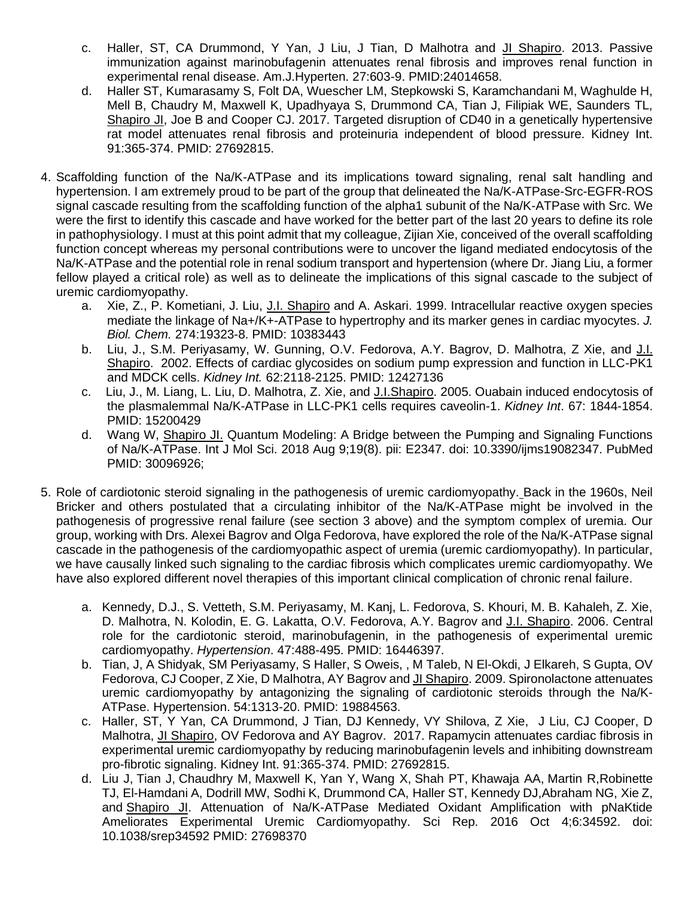- c. Haller, ST, CA Drummond, Y Yan, J Liu, J Tian, D Malhotra and *JI Shapiro.* 2013. Passive immunization against marinobufagenin attenuates renal fibrosis and improves renal function in experimental renal disease. Am.J.Hyperten. 27:603-9. PMID:24014658.
- d. Haller ST, Kumarasamy S, Folt DA, Wuescher LM, Stepkowski S, Karamchandani M, Waghulde H, Mell B, Chaudry M, Maxwell K, Upadhyaya S, Drummond CA, Tian J, Filipiak WE, Saunders TL, Shapiro JI, Joe B and Cooper CJ. 2017. Targeted disruption of CD40 in a genetically hypertensive rat model attenuates renal fibrosis and proteinuria independent of blood pressure. Kidney Int. 91:365-374. PMID: 27692815.
- 4. Scaffolding function of the Na/K-ATPase and its implications toward signaling, renal salt handling and hypertension. I am extremely proud to be part of the group that delineated the Na/K-ATPase-Src-EGFR-ROS signal cascade resulting from the scaffolding function of the alpha1 subunit of the Na/K-ATPase with Src. We were the first to identify this cascade and have worked for the better part of the last 20 years to define its role in pathophysiology. I must at this point admit that my colleague, Zijian Xie, conceived of the overall scaffolding function concept whereas my personal contributions were to uncover the ligand mediated endocytosis of the Na/K-ATPase and the potential role in renal sodium transport and hypertension (where Dr. Jiang Liu, a former fellow played a critical role) as well as to delineate the implications of this signal cascade to the subject of uremic cardiomyopathy.
	- a. Xie, Z., P. Kometiani, J. Liu, J.I. Shapiro and A. Askari. 1999. Intracellular reactive oxygen species mediate the linkage of Na+/K+-ATPase to hypertrophy and its marker genes in cardiac myocytes. *J. Biol. Chem.* 274:19323-8. PMID: 10383443
	- b. Liu, J., S.M. Periyasamy, W. Gunning, O.V. Fedorova, A.Y. Bagrov, D. Malhotra, Z Xie, and J.I. Shapiro. 2002. Effects of cardiac glycosides on sodium pump expression and function in LLC-PK1 and MDCK cells. *Kidney Int.* 62:2118-2125. PMID: 12427136
	- c. Liu, J., M. Liang, L. Liu, D. Malhotra, Z. Xie, and J.I.Shapiro. 2005. Ouabain induced endocytosis of the plasmalemmal Na/K-ATPase in LLC-PK1 cells requires caveolin-1. *Kidney Int*. 67: 1844-1854. PMID: 15200429
	- d. Wang W, Shapiro JI. Quantum Modeling: A Bridge between the Pumping and Signaling Functions of Na/K-ATPase. Int J Mol Sci. 2018 Aug 9;19(8). pii: E2347. doi: 10.3390/ijms19082347. PubMed PMID: 30096926;
- 5. Role of cardiotonic steroid signaling in the pathogenesis of uremic cardiomyopathy. Back in the 1960s, Neil Bricker and others postulated that a circulating inhibitor of the Na/K-ATPase might be involved in the pathogenesis of progressive renal failure (see section 3 above) and the symptom complex of uremia. Our group, working with Drs. Alexei Bagrov and Olga Fedorova, have explored the role of the Na/K-ATPase signal cascade in the pathogenesis of the cardiomyopathic aspect of uremia (uremic cardiomyopathy). In particular, we have causally linked such signaling to the cardiac fibrosis which complicates uremic cardiomyopathy. We have also explored different novel therapies of this important clinical complication of chronic renal failure.
	- a. Kennedy, D.J., S. Vetteth, S.M. Periyasamy, M. Kanj, L. Fedorova, S. Khouri, M. B. Kahaleh, Z. Xie, D. Malhotra, N. Kolodin, E. G. Lakatta, O.V. Fedorova, A.Y. Bagrov and J.I. Shapiro. 2006. Central role for the cardiotonic steroid, marinobufagenin, in the pathogenesis of experimental uremic cardiomyopathy. *Hypertension*. 47:488-495. PMID: 16446397.
	- b. Tian, J, A Shidyak, SM Periyasamy, S Haller, S Oweis, , M Taleb, N El-Okdi, J Elkareh, S Gupta, OV Fedorova, CJ Cooper, Z Xie, D Malhotra, AY Bagrov and JI Shapiro. 2009. Spironolactone attenuates uremic cardiomyopathy by antagonizing the signaling of cardiotonic steroids through the Na/K-ATPase. Hypertension. 54:1313-20. PMID: 19884563.
	- c. Haller, ST, Y Yan, CA Drummond, J Tian, DJ Kennedy, VY Shilova, Z Xie, J Liu, CJ Cooper, D Malhotra, JI Shapiro, OV Fedorova and AY Bagrov. 2017. Rapamycin attenuates cardiac fibrosis in experimental uremic cardiomyopathy by reducing marinobufagenin levels and inhibiting downstream pro-fibrotic signaling. Kidney Int. 91:365-374. PMID: 27692815.
	- d. Liu J, Tian J, Chaudhry M, Maxwell K, Yan Y, Wang X, Shah PT, Khawaja AA, Martin R,Robinette TJ, El-Hamdani A, Dodrill MW, Sodhi K, Drummond CA, Haller ST, Kennedy DJ,Abraham NG, Xie Z, and Shapiro JI. [Attenuation of Na/K-ATPase Mediated Oxidant Amplification with pNaKtide](https://www.ncbi.nlm.nih.gov/pubmed/27698370)  [Ameliorates Experimental Uremic Cardiomyopathy.](https://www.ncbi.nlm.nih.gov/pubmed/27698370) Sci Rep. 2016 Oct 4;6:34592. doi: 10.1038/srep34592 PMID: 27698370